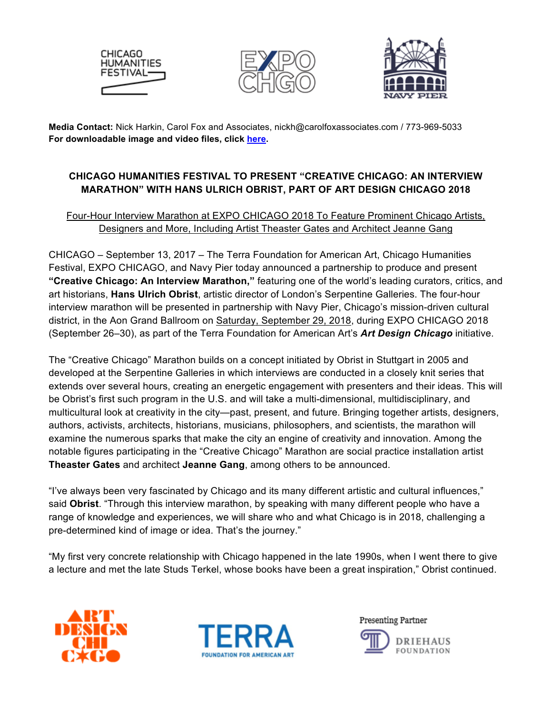





**Media Contact:** Nick Harkin, Carol Fox and Associates, nickh@carolfoxassociates.com / 773-969-5033 **For downloadable image and video files, click here.** 

# **CHICAGO HUMANITIES FESTIVAL TO PRESENT "CREATIVE CHICAGO: AN INTERVIEW MARATHON" WITH HANS ULRICH OBRIST, PART OF ART DESIGN CHICAGO 2018**

# Four-Hour Interview Marathon at EXPO CHICAGO 2018 To Feature Prominent Chicago Artists, Designers and More, Including Artist Theaster Gates and Architect Jeanne Gang

CHICAGO – September 13, 2017 – The Terra Foundation for American Art, Chicago Humanities Festival, EXPO CHICAGO, and Navy Pier today announced a partnership to produce and present **"Creative Chicago: An Interview Marathon,"** featuring one of the world's leading curators, critics, and art historians, **Hans Ulrich Obrist**, artistic director of London's Serpentine Galleries. The four-hour interview marathon will be presented in partnership with Navy Pier, Chicago's mission-driven cultural district, in the Aon Grand Ballroom on Saturday, September 29, 2018, during EXPO CHICAGO 2018 (September 26–30), as part of the Terra Foundation for American Art's *Art Design Chicago* initiative.

The "Creative Chicago" Marathon builds on a concept initiated by Obrist in Stuttgart in 2005 and developed at the Serpentine Galleries in which interviews are conducted in a closely knit series that extends over several hours, creating an energetic engagement with presenters and their ideas. This will be Obrist's first such program in the U.S. and will take a multi-dimensional, multidisciplinary, and multicultural look at creativity in the city—past, present, and future. Bringing together artists, designers, authors, activists, architects, historians, musicians, philosophers, and scientists, the marathon will examine the numerous sparks that make the city an engine of creativity and innovation. Among the notable figures participating in the "Creative Chicago" Marathon are social practice installation artist **Theaster Gates** and architect **Jeanne Gang**, among others to be announced.

"I've always been very fascinated by Chicago and its many different artistic and cultural influences," said **Obrist**. "Through this interview marathon, by speaking with many different people who have a range of knowledge and experiences, we will share who and what Chicago is in 2018, challenging a pre-determined kind of image or idea. That's the journey."

"My first very concrete relationship with Chicago happened in the late 1990s, when I went there to give a lecture and met the late Studs Terkel, whose books have been a great inspiration," Obrist continued.





Presenting Partner

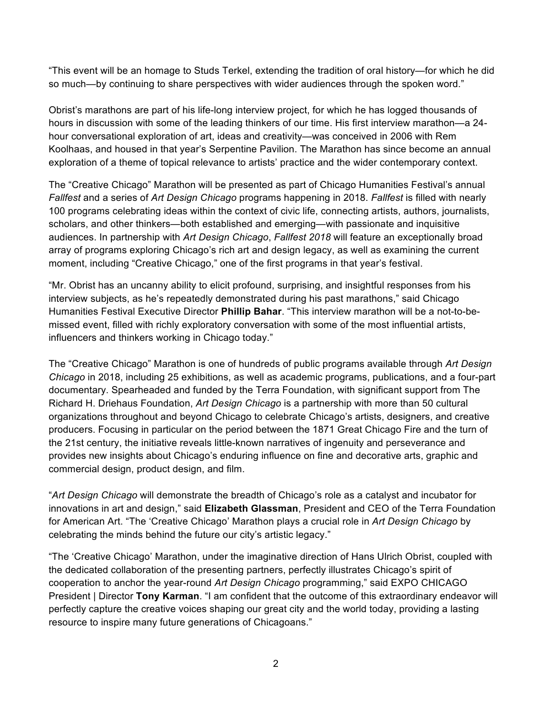"This event will be an homage to Studs Terkel, extending the tradition of oral history—for which he did so much—by continuing to share perspectives with wider audiences through the spoken word."

Obrist's marathons are part of his life-long interview project, for which he has logged thousands of hours in discussion with some of the leading thinkers of our time. His first interview marathon—a 24 hour conversational exploration of art, ideas and creativity—was conceived in 2006 with Rem Koolhaas, and housed in that year's Serpentine Pavilion. The Marathon has since become an annual exploration of a theme of topical relevance to artists' practice and the wider contemporary context.

The "Creative Chicago" Marathon will be presented as part of Chicago Humanities Festival's annual *Fallfest* and a series of *Art Design Chicago* programs happening in 2018. *Fallfest* is filled with nearly 100 programs celebrating ideas within the context of civic life, connecting artists, authors, journalists, scholars, and other thinkers—both established and emerging—with passionate and inquisitive audiences. In partnership with *Art Design Chicago*, *Fallfest 2018* will feature an exceptionally broad array of programs exploring Chicago's rich art and design legacy, as well as examining the current moment, including "Creative Chicago," one of the first programs in that year's festival.

"Mr. Obrist has an uncanny ability to elicit profound, surprising, and insightful responses from his interview subjects, as he's repeatedly demonstrated during his past marathons," said Chicago Humanities Festival Executive Director **Phillip Bahar**. "This interview marathon will be a not-to-bemissed event, filled with richly exploratory conversation with some of the most influential artists, influencers and thinkers working in Chicago today."

The "Creative Chicago" Marathon is one of hundreds of public programs available through *Art Design Chicago* in 2018, including 25 exhibitions, as well as academic programs, publications, and a four-part documentary. Spearheaded and funded by the Terra Foundation, with significant support from The Richard H. Driehaus Foundation, *Art Design Chicago* is a partnership with more than 50 cultural organizations throughout and beyond Chicago to celebrate Chicago's artists, designers, and creative producers. Focusing in particular on the period between the 1871 Great Chicago Fire and the turn of the 21st century, the initiative reveals little-known narratives of ingenuity and perseverance and provides new insights about Chicago's enduring influence on fine and decorative arts, graphic and commercial design, product design, and film.

"*Art Design Chicago* will demonstrate the breadth of Chicago's role as a catalyst and incubator for innovations in art and design," said **Elizabeth Glassman**, President and CEO of the Terra Foundation for American Art. "The 'Creative Chicago' Marathon plays a crucial role in *Art Design Chicago* by celebrating the minds behind the future our city's artistic legacy."

"The 'Creative Chicago' Marathon, under the imaginative direction of Hans Ulrich Obrist, coupled with the dedicated collaboration of the presenting partners, perfectly illustrates Chicago's spirit of cooperation to anchor the year-round *Art Design Chicago* programming," said EXPO CHICAGO President | Director **Tony Karman**. "I am confident that the outcome of this extraordinary endeavor will perfectly capture the creative voices shaping our great city and the world today, providing a lasting resource to inspire many future generations of Chicagoans."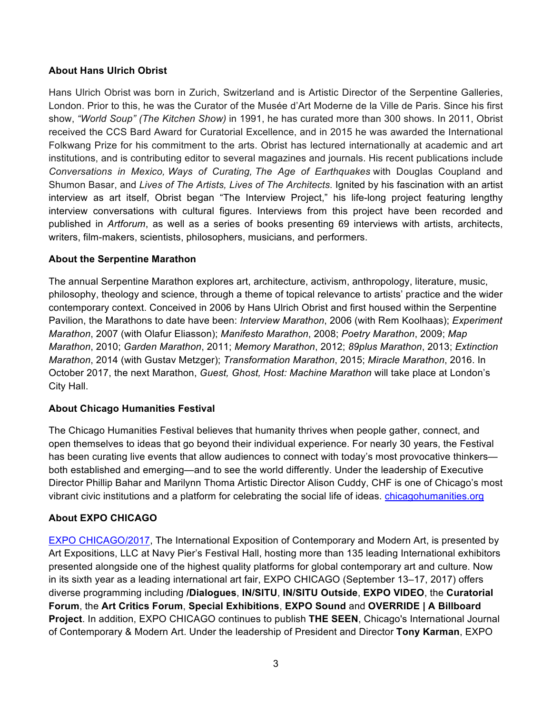#### **About Hans Ulrich Obrist**

Hans Ulrich Obrist was born in Zurich, Switzerland and is Artistic Director of the Serpentine Galleries, London. Prior to this, he was the Curator of the Musée d'Art Moderne de la Ville de Paris. Since his first show, *"World Soup" (The Kitchen Show)* in 1991, he has curated more than 300 shows. In 2011, Obrist received the CCS Bard Award for Curatorial Excellence, and in 2015 he was awarded the International Folkwang Prize for his commitment to the arts. Obrist has lectured internationally at academic and art institutions, and is contributing editor to several magazines and journals. His recent publications include *Conversations in Mexico, Ways of Curating, The Age of Earthquakes* with Douglas Coupland and Shumon Basar, and *Lives of The Artists, Lives of The Architects.* Ignited by his fascination with an artist interview as art itself, Obrist began "The Interview Project," his life-long project featuring lengthy interview conversations with cultural figures. Interviews from this project have been recorded and published in *Artforum*, as well as a series of books presenting 69 interviews with artists, architects, writers, film-makers, scientists, philosophers, musicians, and performers.

#### **About the Serpentine Marathon**

The annual Serpentine Marathon explores art, architecture, activism, anthropology, literature, music, philosophy, theology and science, through a theme of topical relevance to artists' practice and the wider contemporary context. Conceived in 2006 by Hans Ulrich Obrist and first housed within the Serpentine Pavilion, the Marathons to date have been: *Interview Marathon*, 2006 (with Rem Koolhaas); *Experiment Marathon*, 2007 (with Olafur Eliasson); *Manifesto Marathon*, 2008; *Poetry Marathon*, 2009; *Map Marathon*, 2010; *Garden Marathon*, 2011; *Memory Marathon*, 2012; *89plus Marathon*, 2013; *Extinction Marathon*, 2014 (with Gustav Metzger); *Transformation Marathon*, 2015; *Miracle Marathon*, 2016. In October 2017, the next Marathon, *Guest, Ghost, Host: Machine Marathon* will take place at London's City Hall.

#### **About Chicago Humanities Festival**

The Chicago Humanities Festival believes that humanity thrives when people gather, connect, and open themselves to ideas that go beyond their individual experience. For nearly 30 years, the Festival has been curating live events that allow audiences to connect with today's most provocative thinkersboth established and emerging—and to see the world differently. Under the leadership of Executive Director Phillip Bahar and Marilynn Thoma Artistic Director Alison Cuddy, CHF is one of Chicago's most vibrant civic institutions and a platform for celebrating the social life of ideas. chicagohumanities.org

## **About EXPO CHICAGO**

EXPO CHICAGO/2017, The International Exposition of Contemporary and Modern Art, is presented by Art Expositions, LLC at Navy Pier's Festival Hall, hosting more than 135 leading International exhibitors presented alongside one of the highest quality platforms for global contemporary art and culture. Now in its sixth year as a leading international art fair, EXPO CHICAGO (September 13–17, 2017) offers diverse programming including **/Dialogues**, **IN/SITU**, **IN/SITU Outside**, **EXPO VIDEO**, the **Curatorial Forum**, the **Art Critics Forum**, **Special Exhibitions**, **EXPO Sound** and **OVERRIDE | A Billboard Project**. In addition, EXPO CHICAGO continues to publish **THE SEEN**, Chicago's International Journal of Contemporary & Modern Art. Under the leadership of President and Director **Tony Karman**, EXPO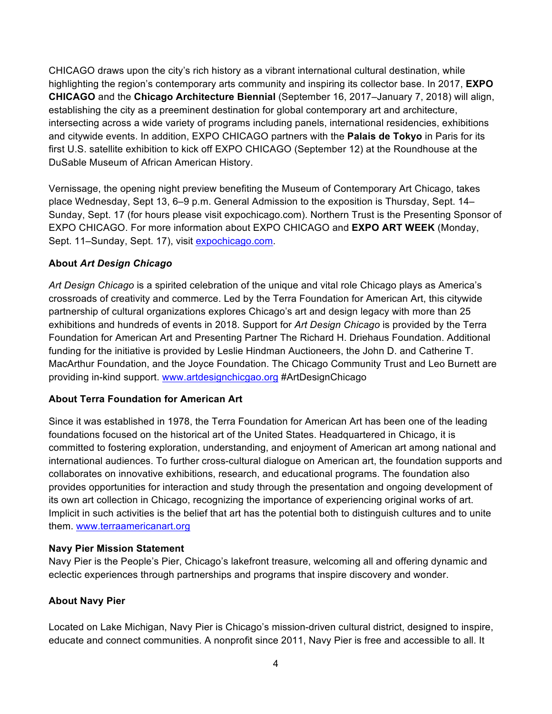CHICAGO draws upon the city's rich history as a vibrant international cultural destination, while highlighting the region's contemporary arts community and inspiring its collector base. In 2017, **EXPO CHICAGO** and the **Chicago Architecture Biennial** (September 16, 2017–January 7, 2018) will align, establishing the city as a preeminent destination for global contemporary art and architecture, intersecting across a wide variety of programs including panels, international residencies, exhibitions and citywide events. In addition, EXPO CHICAGO partners with the **Palais de Tokyo** in Paris for its first U.S. satellite exhibition to kick off EXPO CHICAGO (September 12) at the Roundhouse at the DuSable Museum of African American History.

Vernissage, the opening night preview benefiting the Museum of Contemporary Art Chicago, takes place Wednesday, Sept 13, 6–9 p.m. General Admission to the exposition is Thursday, Sept. 14– Sunday, Sept. 17 (for hours please visit expochicago.com). Northern Trust is the Presenting Sponsor of EXPO CHICAGO. For more information about EXPO CHICAGO and **EXPO ART WEEK** (Monday, Sept. 11–Sunday, Sept. 17), visit expochicago.com.

## **About** *Art Design Chicago*

*Art Design Chicago* is a spirited celebration of the unique and vital role Chicago plays as America's crossroads of creativity and commerce. Led by the Terra Foundation for American Art, this citywide partnership of cultural organizations explores Chicago's art and design legacy with more than 25 exhibitions and hundreds of events in 2018. Support for *Art Design Chicago* is provided by the Terra Foundation for American Art and Presenting Partner The Richard H. Driehaus Foundation. Additional funding for the initiative is provided by Leslie Hindman Auctioneers, the John D. and Catherine T. MacArthur Foundation, and the Joyce Foundation. The Chicago Community Trust and Leo Burnett are providing in-kind support. www.artdesignchicgao.org #ArtDesignChicago

## **About Terra Foundation for American Art**

Since it was established in 1978, the Terra Foundation for American Art has been one of the leading foundations focused on the historical art of the United States. Headquartered in Chicago, it is committed to fostering exploration, understanding, and enjoyment of American art among national and international audiences. To further cross-cultural dialogue on American art, the foundation supports and collaborates on innovative exhibitions, research, and educational programs. The foundation also provides opportunities for interaction and study through the presentation and ongoing development of its own art collection in Chicago, recognizing the importance of experiencing original works of art. Implicit in such activities is the belief that art has the potential both to distinguish cultures and to unite them. www.terraamericanart.org

## **Navy Pier Mission Statement**

Navy Pier is the People's Pier, Chicago's lakefront treasure, welcoming all and offering dynamic and eclectic experiences through partnerships and programs that inspire discovery and wonder.

## **About Navy Pier**

Located on Lake Michigan, Navy Pier is Chicago's mission-driven cultural district, designed to inspire, educate and connect communities. A nonprofit since 2011, Navy Pier is free and accessible to all. It